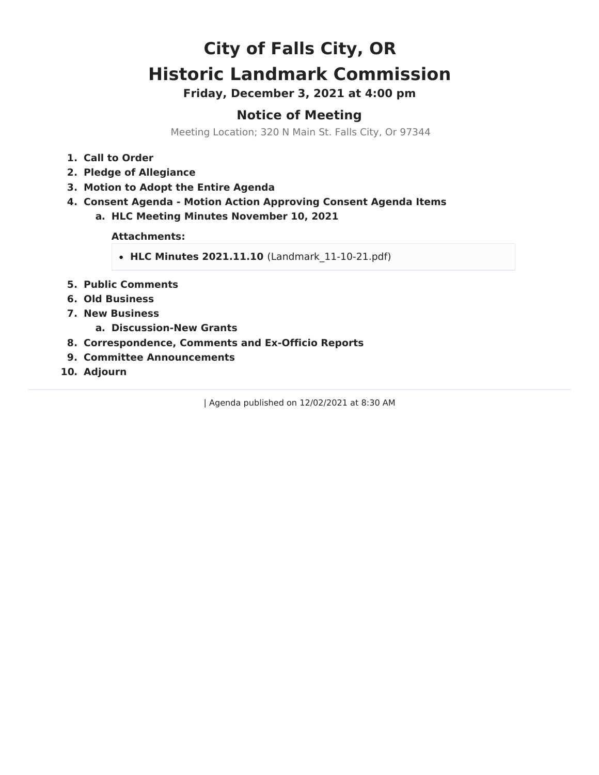# **City of Falls City, OR Historic Landmark Commission**

**Friday, December 3, 2021 at 4:00 pm**

# **Notice of Meeting**

Meeting Location; 320 N Main St. Falls City, Or 97344

- **1. Call to Order**
- **2. Pledge of Allegiance**
- **3. Motion to Adopt the Entire Agenda**
- **4. Consent Agenda - Motion Action Approving Consent Agenda Items**
	- **a. HLC Meeting Minutes November 10, 2021**

**Attachments:**

- **HLC Minutes 2021.11.10** (Landmark\_11-10-21.pdf)
- **5. Public Comments**
- **6. Old Business**
- **7. New Business**
	- **a. Discussion-New Grants**
- **8. Correspondence, Comments and Ex-Officio Reports**
- **9. Committee Announcements**
- **10. Adjourn**

| Agenda published on 12/02/2021 at 8:30 AM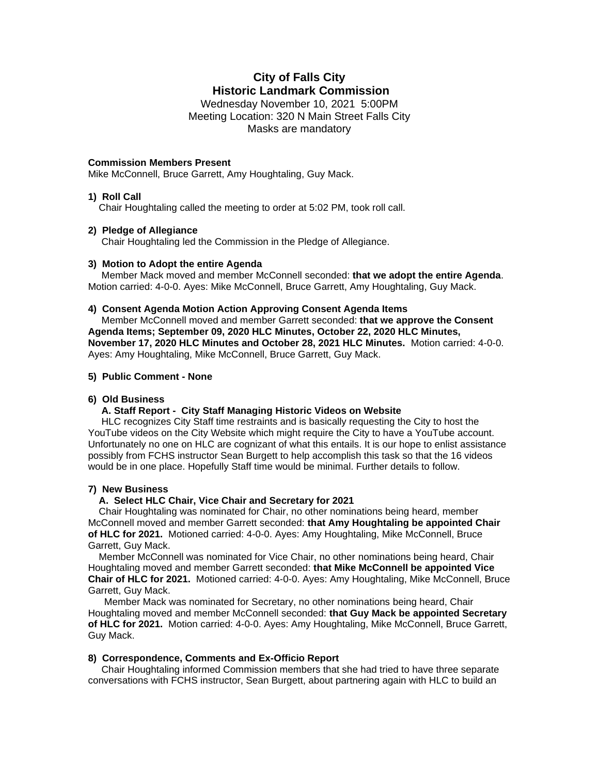## **City of Falls City Historic Landmark Commission**

Wednesday November 10, 2021 5:00PM Meeting Location: 320 N Main Street Falls City Masks are mandatory

#### **Commission Members Present**

Mike McConnell, Bruce Garrett, Amy Houghtaling, Guy Mack.

### **1) Roll Call**

Chair Houghtaling called the meeting to order at 5:02 PM, took roll call.

#### **2) Pledge of Allegiance**

Chair Houghtaling led the Commission in the Pledge of Allegiance.

#### **3) Motion to Adopt the entire Agenda**

 Member Mack moved and member McConnell seconded: **that we adopt the entire Agenda**. Motion carried: 4-0-0. Ayes: Mike McConnell, Bruce Garrett, Amy Houghtaling, Guy Mack.

#### **4) Consent Agenda Motion Action Approving Consent Agenda Items**

 Member McConnell moved and member Garrett seconded: **that we approve the Consent Agenda Items; September 09, 2020 HLC Minutes, October 22, 2020 HLC Minutes, November 17, 2020 HLC Minutes and October 28, 2021 HLC Minutes.** Motion carried: 4-0-0. Ayes: Amy Houghtaling, Mike McConnell, Bruce Garrett, Guy Mack.

#### **5) Public Comment - None**

#### **6) Old Business**

#### **A. Staff Report - City Staff Managing Historic Videos on Website**

 HLC recognizes City Staff time restraints and is basically requesting the City to host the YouTube videos on the City Website which might require the City to have a YouTube account. Unfortunately no one on HLC are cognizant of what this entails. It is our hope to enlist assistance possibly from FCHS instructor Sean Burgett to help accomplish this task so that the 16 videos would be in one place. Hopefully Staff time would be minimal. Further details to follow.

#### **7) New Business**

#### **A. Select HLC Chair, Vice Chair and Secretary for 2021**

Chair Houghtaling was nominated for Chair, no other nominations being heard, member McConnell moved and member Garrett seconded: **that Amy Houghtaling be appointed Chair of HLC for 2021.** Motioned carried: 4-0-0. Ayes: Amy Houghtaling, Mike McConnell, Bruce Garrett, Guy Mack.

 Member McConnell was nominated for Vice Chair, no other nominations being heard, Chair Houghtaling moved and member Garrett seconded: **that Mike McConnell be appointed Vice Chair of HLC for 2021.** Motioned carried: 4-0-0. Ayes: Amy Houghtaling, Mike McConnell, Bruce Garrett, Guy Mack.

 Member Mack was nominated for Secretary, no other nominations being heard, Chair Houghtaling moved and member McConnell seconded: **that Guy Mack be appointed Secretary of HLC for 2021.** Motion carried: 4-0-0. Ayes: Amy Houghtaling, Mike McConnell, Bruce Garrett, Guy Mack.

#### **8) Correspondence, Comments and Ex-Officio Report**

Chair Houghtaling informed Commission members that she had tried to have three separate conversations with FCHS instructor, Sean Burgett, about partnering again with HLC to build an